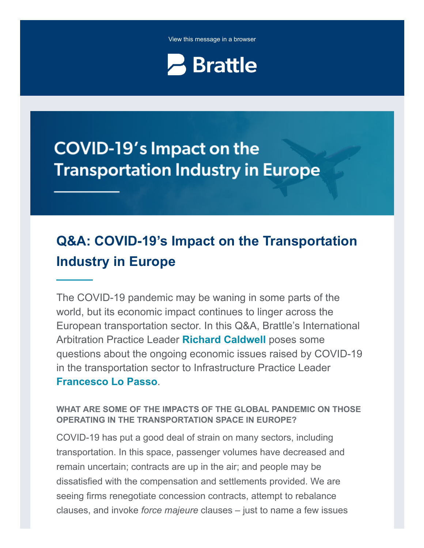View this message in a browser



# **COVID-19's Impact on the Transportation Industry in Europe**

## **Q&A: COVID-19's Impact on the Transportation Industry in Europe**

The COVID-19 pandemic may be waning in some parts of the world, but its economic impact continues to linger across the European transportation sector. In this Q&A, Brattle's International Arbitration Practice Leader **[Richard Caldwell](https://www.brattle.com/experts/richard-caldwell)** poses some questions about the ongoing economic issues raised by COVID-19 in the transportation sector to Infrastructure Practice Leader **[Francesco Lo Passo](https://www.brattle.com/experts/francesco-lo-passo)**.

#### **WHAT ARE SOME OF THE IMPACTS OF THE GLOBAL PANDEMIC ON THOSE OPERATING IN THE TRANSPORTATION SPACE IN EUROPE?**

COVID-19 has put a good deal of strain on many sectors, including transportation. In this space, passenger volumes have decreased and remain uncertain; contracts are up in the air; and people may be dissatisfied with the compensation and settlements provided. We are seeing firms renegotiate concession contracts, attempt to rebalance clauses, and invoke *force majeure* clauses – just to name a few issues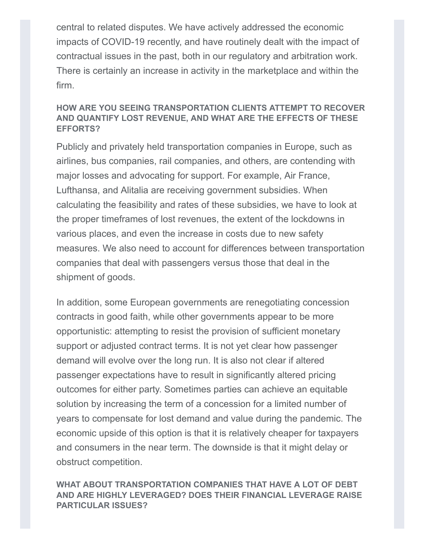central to related disputes. We have actively addressed the economic impacts of COVID-19 recently, and have routinely dealt with the impact of contractual issues in the past, both in our regulatory and arbitration work. There is certainly an increase in activity in the marketplace and within the firm.

#### **HOW ARE YOU SEEING TRANSPORTATION CLIENTS ATTEMPT TO RECOVER AND QUANTIFY LOST REVENUE, AND WHAT ARE THE EFFECTS OF THESE EFFORTS?**

Publicly and privately held transportation companies in Europe, such as airlines, bus companies, rail companies, and others, are contending with major losses and advocating for support. For example, Air France, Lufthansa, and Alitalia are receiving government subsidies. When calculating the feasibility and rates of these subsidies, we have to look at the proper timeframes of lost revenues, the extent of the lockdowns in various places, and even the increase in costs due to new safety measures. We also need to account for differences between transportation companies that deal with passengers versus those that deal in the shipment of goods.

In addition, some European governments are renegotiating concession contracts in good faith, while other governments appear to be more opportunistic: attempting to resist the provision of sufficient monetary support or adjusted contract terms. It is not yet clear how passenger demand will evolve over the long run. It is also not clear if altered passenger expectations have to result in significantly altered pricing outcomes for either party. Sometimes parties can achieve an equitable solution by increasing the term of a concession for a limited number of years to compensate for lost demand and value during the pandemic. The economic upside of this option is that it is relatively cheaper for taxpayers and consumers in the near term. The downside is that it might delay or obstruct competition.

#### **WHAT ABOUT TRANSPORTATION COMPANIES THAT HAVE A LOT OF DEBT AND ARE HIGHLY LEVERAGED? DOES THEIR FINANCIAL LEVERAGE RAISE PARTICULAR ISSUES?**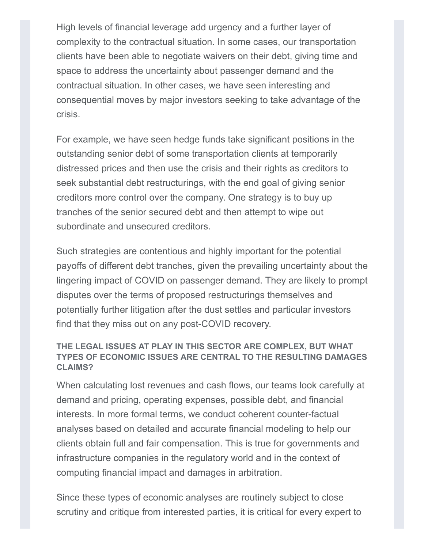High levels of financial leverage add urgency and a further layer of complexity to the contractual situation. In some cases, our transportation clients have been able to negotiate waivers on their debt, giving time and space to address the uncertainty about passenger demand and the contractual situation. In other cases, we have seen interesting and consequential moves by major investors seeking to take advantage of the crisis.

For example, we have seen hedge funds take significant positions in the outstanding senior debt of some transportation clients at temporarily distressed prices and then use the crisis and their rights as creditors to seek substantial debt restructurings, with the end goal of giving senior creditors more control over the company. One strategy is to buy up tranches of the senior secured debt and then attempt to wipe out subordinate and unsecured creditors.

Such strategies are contentious and highly important for the potential payoffs of different debt tranches, given the prevailing uncertainty about the lingering impact of COVID on passenger demand. They are likely to prompt disputes over the terms of proposed restructurings themselves and potentially further litigation after the dust settles and particular investors find that they miss out on any post-COVID recovery.

#### **THE LEGAL ISSUES AT PLAY IN THIS SECTOR ARE COMPLEX, BUT WHAT TYPES OF ECONOMIC ISSUES ARE CENTRAL TO THE RESULTING DAMAGES CLAIMS?**

When calculating lost revenues and cash flows, our teams look carefully at demand and pricing, operating expenses, possible debt, and financial interests. In more formal terms, we conduct coherent counter-factual analyses based on detailed and accurate financial modeling to help our clients obtain full and fair compensation. This is true for governments and infrastructure companies in the regulatory world and in the context of computing financial impact and damages in arbitration.

Since these types of economic analyses are routinely subject to close scrutiny and critique from interested parties, it is critical for every expert to